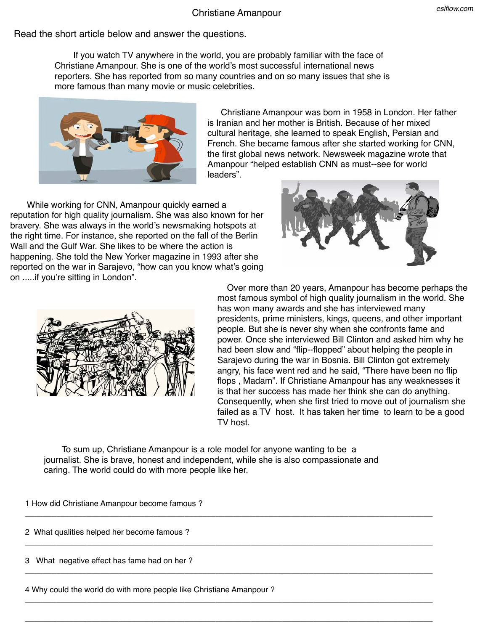## Christiane Amanpour

Read the short article below and answer the questions.

 If you watch TV anywhere in the world, you are probably familiar with the face of Christiane Amanpour. She is one of the world's most successful international news reporters. She has reported from so many countries and on so many issues that she is more famous than many movie or music celebrities.

> Christiane Amanpour was born in 1958 in London. Her father is Iranian and her mother is British. Because of her mixed cultural heritage, she learned to speak English, Persian and French. She became famous after she started working for CNN, the first global news network. Newsweek magazine wrote that Amanpour "helped establish CNN as must-‐see for world

While working for CNN, Amanpour quickly earned a reputation for high quality journalism. She was also known for her bravery. She was always in the world's newsmaking hotspots at the right time. For instance, she reported on the fall of the Berlin Wall and the Gulf War. She likes to be where the action is happening. She told the New Yorker magazine in 1993 after she reported on the war in Sarajevo, "how can you know what's going on .....if you're sitting in London".

> Over more than 20 years, Amanpour has become perhaps the most famous symbol of high quality journalism in the world. She has won many awards and she has interviewed many presidents, prime ministers, kings, queens, and other important people. But she is never shy when she confronts fame and power. Once she interviewed Bill Clinton and asked him why he had been slow and "flip-‐flopped" about helping the people in Sarajevo during the war in Bosnia. Bill Clinton got extremely angry, his face went red and he said, "There have been no flip flops , Madam". If Christiane Amanpour has any weaknesses it is that her success has made her think she can do anything. Consequently, when she first tried to move out of journalism she failed as a TV host. It has taken her time to learn to be a good TV host.

 To sum up, Christiane Amanpour is a role model for anyone wanting to be a journalist. She is brave, honest and independent, while she is also compassionate and caring. The world could do with more people like her.

 $\_$  , and the set of the set of the set of the set of the set of the set of the set of the set of the set of the set of the set of the set of the set of the set of the set of the set of the set of the set of the set of th

 $\_$  , and the set of the set of the set of the set of the set of the set of the set of the set of the set of the set of the set of the set of the set of the set of the set of the set of the set of the set of the set of th

 $\_$  , and the set of the set of the set of the set of the set of the set of the set of the set of the set of the set of the set of the set of the set of the set of the set of the set of the set of the set of the set of th

 $\_$  , and the set of the set of the set of the set of the set of the set of the set of the set of the set of the set of the set of the set of the set of the set of the set of the set of the set of the set of the set of th

 $\_$  , and the set of the set of the set of the set of the set of the set of the set of the set of the set of the set of the set of the set of the set of the set of the set of the set of the set of the set of the set of th

1 How did Christiane Amanpour become famous ?

2 What qualities helped her become famous ?

3 What negative effect has fame had on her ?

4 Why could the world do with more people like Christiane Amanpour ?